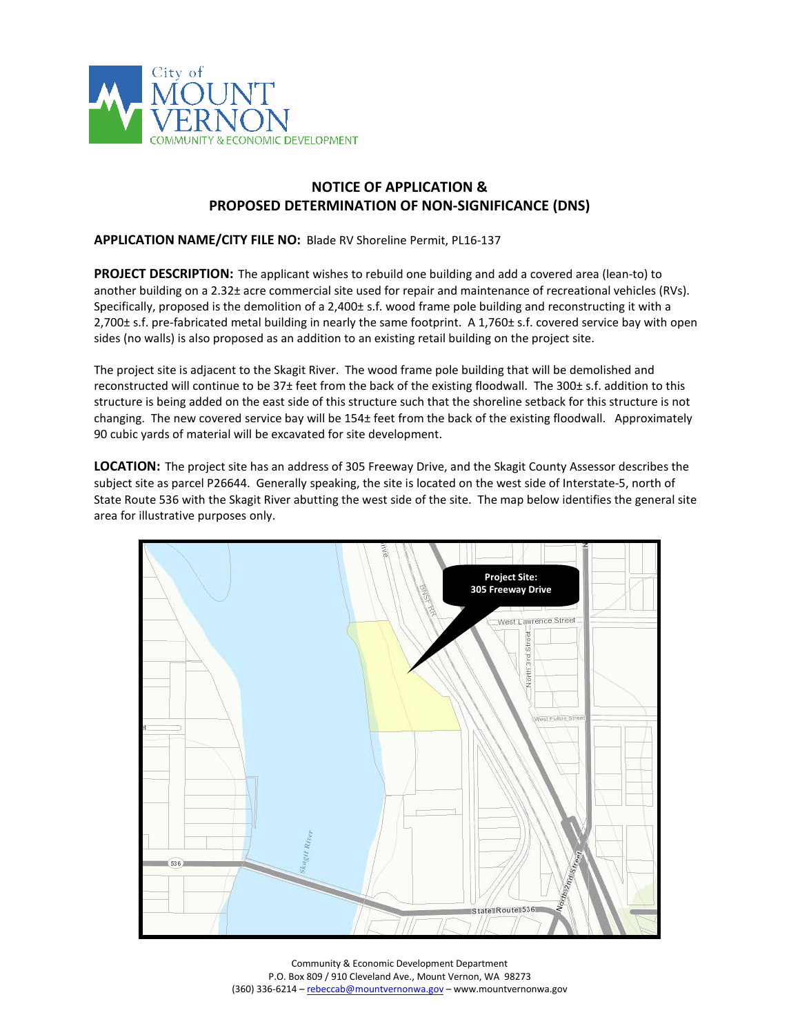

## **NOTICE OF APPLICATION & PROPOSED DETERMINATION OF NON-SIGNIFICANCE (DNS)**

## **APPLICATION NAME/CITY FILE NO:** Blade RV Shoreline Permit, PL16-137

**PROJECT DESCRIPTION:** The applicant wishes to rebuild one building and add a covered area (lean-to) to another building on a 2.32± acre commercial site used for repair and maintenance of recreational vehicles (RVs). Specifically, proposed is the demolition of a 2,400± s.f. wood frame pole building and reconstructing it with a 2,700± s.f. pre-fabricated metal building in nearly the same footprint. A 1,760± s.f. covered service bay with open sides (no walls) is also proposed as an addition to an existing retail building on the project site.

The project site is adjacent to the Skagit River. The wood frame pole building that will be demolished and reconstructed will continue to be 37± feet from the back of the existing floodwall. The 300± s.f. addition to this structure is being added on the east side of this structure such that the shoreline setback for this structure is not changing. The new covered service bay will be 154± feet from the back of the existing floodwall. Approximately 90 cubic yards of material will be excavated for site development.

**LOCATION:** The project site has an address of 305 Freeway Drive, and the Skagit County Assessor describes the subject site as parcel P26644. Generally speaking, the site is located on the west side of Interstate-5, north of State Route 536 with the Skagit River abutting the west side of the site. The map below identifies the general site area for illustrative purposes only.



Community & Economic Development Department P.O. Box 809 / 910 Cleveland Ave., Mount Vernon, WA 98273 (360) 336-6214 - [rebeccab@mountvernonwa.gov](mailto:rebeccab@mountvernonwa.gov) - www.mountvernonwa.gov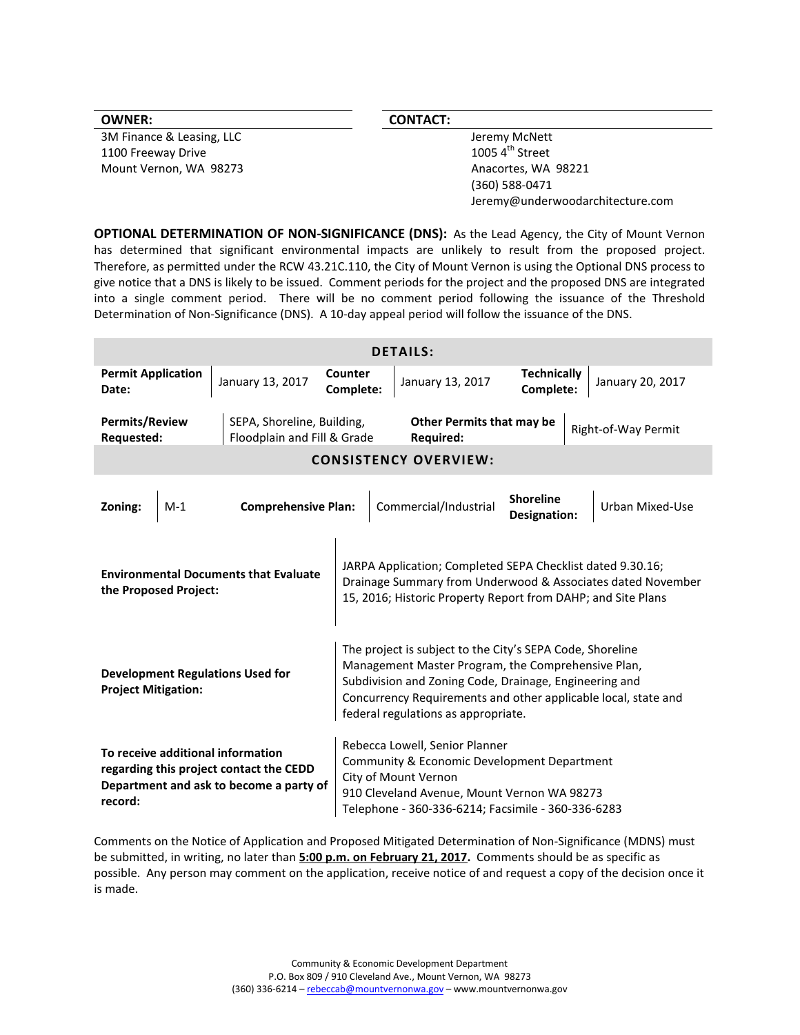| <b>OWNER:</b>             | <b>CONTACT:</b>                  |
|---------------------------|----------------------------------|
| 3M Finance & Leasing, LLC | Jeremy McNett                    |
| 1100 Freeway Drive        | 1005 $4^{\text{th}}$ Street      |
| Mount Vernon, WA 98273    | Anacortes, WA 98221              |
|                           | (360) 588-0471                   |
|                           | Jeremy@underwoodarchitecture.com |
|                           |                                  |

**OPTIONAL DETERMINATION OF NON-SIGNIFICANCE (DNS):** As the Lead Agency, the City of Mount Vernon has determined that significant environmental impacts are unlikely to result from the proposed project. Therefore, as permitted under the RCW 43.21C.110, the City of Mount Vernon is using the Optional DNS process to give notice that a DNS is likely to be issued. Comment periods for the project and the proposed DNS are integrated into a single comment period. There will be no comment period following the issuance of the Threshold Determination of Non-Significance (DNS). A 10-day appeal period will follow the issuance of the DNS.

| <b>DETAILS:</b>                                                                                                                    |                                                           |                                                                                                                                                                                                                                                                                    |                                        |                                  |                     |
|------------------------------------------------------------------------------------------------------------------------------------|-----------------------------------------------------------|------------------------------------------------------------------------------------------------------------------------------------------------------------------------------------------------------------------------------------------------------------------------------------|----------------------------------------|----------------------------------|---------------------|
| <b>Permit Application</b><br>Date:                                                                                                 | January 13, 2017                                          | Counter<br>Complete:                                                                                                                                                                                                                                                               | January 13, 2017                       | <b>Technically</b><br>Complete:  | January 20, 2017    |
| <b>Permits/Review</b><br>Requested:                                                                                                | SEPA, Shoreline, Building,<br>Floodplain and Fill & Grade |                                                                                                                                                                                                                                                                                    | Other Permits that may be<br>Required: |                                  | Right-of-Way Permit |
| <b>CONSISTENCY OVERVIEW:</b>                                                                                                       |                                                           |                                                                                                                                                                                                                                                                                    |                                        |                                  |                     |
| Zoning:<br>$M-1$                                                                                                                   | <b>Comprehensive Plan:</b>                                |                                                                                                                                                                                                                                                                                    | Commercial/Industrial                  | <b>Shoreline</b><br>Designation: | Urban Mixed-Use     |
| <b>Environmental Documents that Evaluate</b><br>the Proposed Project:                                                              |                                                           | JARPA Application; Completed SEPA Checklist dated 9.30.16;<br>Drainage Summary from Underwood & Associates dated November<br>15, 2016; Historic Property Report from DAHP; and Site Plans                                                                                          |                                        |                                  |                     |
| <b>Development Regulations Used for</b><br><b>Project Mitigation:</b>                                                              |                                                           | The project is subject to the City's SEPA Code, Shoreline<br>Management Master Program, the Comprehensive Plan,<br>Subdivision and Zoning Code, Drainage, Engineering and<br>Concurrency Requirements and other applicable local, state and<br>federal regulations as appropriate. |                                        |                                  |                     |
| To receive additional information<br>regarding this project contact the CEDD<br>Department and ask to become a party of<br>record: |                                                           | Rebecca Lowell, Senior Planner<br>Community & Economic Development Department<br>City of Mount Vernon<br>910 Cleveland Avenue, Mount Vernon WA 98273<br>Telephone - 360-336-6214; Facsimile - 360-336-6283                                                                         |                                        |                                  |                     |

Comments on the Notice of Application and Proposed Mitigated Determination of Non-Significance (MDNS) must be submitted, in writing, no later than **5:00 p.m. on February 21, 2017.** Comments should be as specific as possible. Any person may comment on the application, receive notice of and request a copy of the decision once it is made.